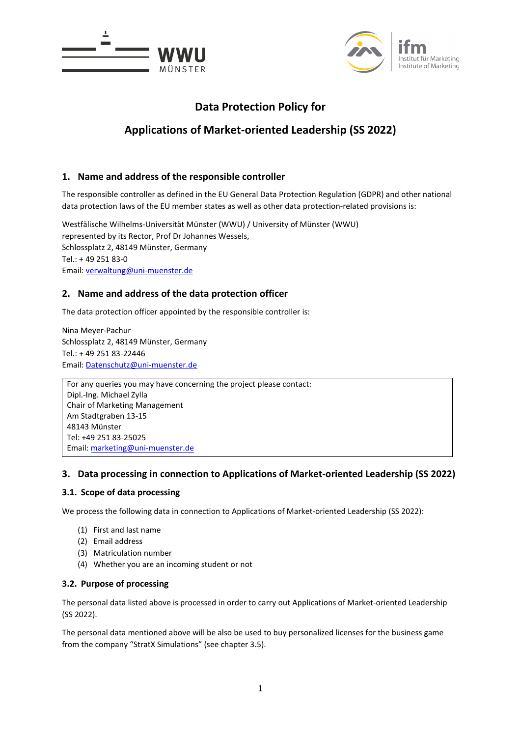



# **Data Protection Policy for**

# **Applications of Market-oriented Leadership (SS 2022)**

# **1. Name and address of the responsible controller**

The responsible controller as defined in the EU General Data Protection Regulation (GDPR) and other national data protection laws of the EU member states as well as other data protection-related provisions is:

Westfälische Wilhelms-Universität Münster (WWU) / University of Münster (WWU) represented by its Rector, Prof Dr Johannes Wessels, Schlossplatz 2, 48149 Münster, Germany Tel.: + 49 251 83-0 Email: [verwaltung@uni-muenster.de](mailto:verwaltung@uni-muenster.de)

# **2. Name and address of the data protection officer**

The data protection officer appointed by the responsible controller is:

Nina Meyer-Pachur Schlossplatz 2, 48149 Münster, Germany Tel.: + 49 251 83-22446 Email: [Datenschutz@uni-muenster.de](mailto:Datenschutz@uni-muenster.de)

For any queries you may have concerning the project please contact: Dipl.-Ing. Michael Zylla Chair of Marketing Management Am Stadtgraben 13-15 48143 Münster Tel: +49 251 83-25025 Email[: marketing@uni-muenster.de](mailto:marketing@uni-muenster.de)

# **3. Data processing in connection to Applications of Market-oriented Leadership (SS 2022)**

## **3.1. Scope of data processing**

We process the following data in connection to Applications of Market-oriented Leadership (SS 2022):

- (1) First and last name
- (2) Email address
- (3) Matriculation number
- (4) Whether you are an incoming student or not

## **3.2. Purpose of processing**

The personal data listed above is processed in order to carry out Applications of Market-oriented Leadership (SS 2022).

The personal data mentioned above will be also be used to buy personalized licenses for the business game from the company "StratX Simulations" (see chapter 3.5).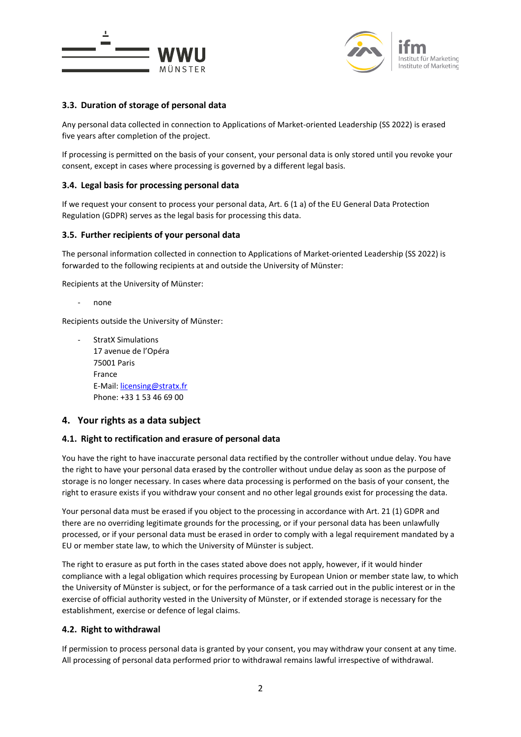



# **3.3. Duration of storage of personal data**

Any personal data collected in connection to Applications of Market-oriented Leadership (SS 2022) is erased five years after completion of the project.

If processing is permitted on the basis of your consent, your personal data is only stored until you revoke your consent, except in cases where processing is governed by a different legal basis.

#### **3.4. Legal basis for processing personal data**

If we request your consent to process your personal data, Art. 6 (1 a) of the EU General Data Protection Regulation (GDPR) serves as the legal basis for processing this data.

#### **3.5. Further recipients of your personal data**

The personal information collected in connection to Applications of Market-oriented Leadership (SS 2022) is forwarded to the following recipients at and outside the University of Münster:

Recipients at the University of Münster:

none

Recipients outside the University of Münster:

- StratX Simulations 17 avenue de l'Opéra 75001 Paris France E-Mail[: licensing@stratx.fr](mailto:licensing@stratx.fr) Phone: +33 1 53 46 69 00

## **4. Your rights as a data subject**

#### **4.1. Right to rectification and erasure of personal data**

You have the right to have inaccurate personal data rectified by the controller without undue delay. You have the right to have your personal data erased by the controller without undue delay as soon as the purpose of storage is no longer necessary. In cases where data processing is performed on the basis of your consent, the right to erasure exists if you withdraw your consent and no other legal grounds exist for processing the data.

Your personal data must be erased if you object to the processing in accordance with Art. 21 (1) GDPR and there are no overriding legitimate grounds for the processing, or if your personal data has been unlawfully processed, or if your personal data must be erased in order to comply with a legal requirement mandated by a EU or member state law, to which the University of Münster is subject.

The right to erasure as put forth in the cases stated above does not apply, however, if it would hinder compliance with a legal obligation which requires processing by European Union or member state law, to which the University of Münster is subject, or for the performance of a task carried out in the public interest or in the exercise of official authority vested in the University of Münster, or if extended storage is necessary for the establishment, exercise or defence of legal claims.

#### **4.2. Right to withdrawal**

If permission to process personal data is granted by your consent, you may withdraw your consent at any time. All processing of personal data performed prior to withdrawal remains lawful irrespective of withdrawal.